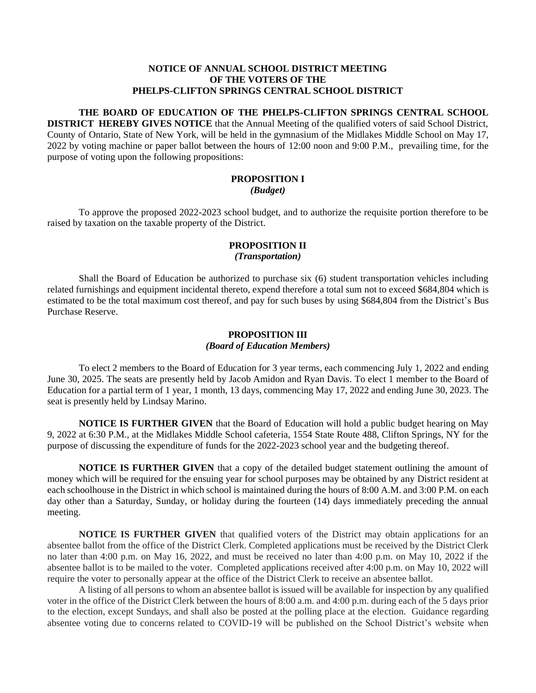#### **NOTICE OF ANNUAL SCHOOL DISTRICT MEETING OF THE VOTERS OF THE PHELPS-CLIFTON SPRINGS CENTRAL SCHOOL DISTRICT**

# **THE BOARD OF EDUCATION OF THE PHELPS-CLIFTON SPRINGS CENTRAL SCHOOL**

**DISTRICT HEREBY GIVES NOTICE** that the Annual Meeting of the qualified voters of said School District, County of Ontario, State of New York, will be held in the gymnasium of the Midlakes Middle School on May 17, 2022 by voting machine or paper ballot between the hours of 12:00 noon and 9:00 P.M., prevailing time, for the purpose of voting upon the following propositions:

# **PROPOSITION I** *(Budget)*

To approve the proposed 2022-2023 school budget, and to authorize the requisite portion therefore to be raised by taxation on the taxable property of the District.

### **PROPOSITION II** *(Transportation)*

Shall the Board of Education be authorized to purchase six (6) student transportation vehicles including related furnishings and equipment incidental thereto, expend therefore a total sum not to exceed \$684,804 which is estimated to be the total maximum cost thereof, and pay for such buses by using \$684,804 from the District's Bus Purchase Reserve.

## **PROPOSITION III** *(Board of Education Members)*

To elect 2 members to the Board of Education for 3 year terms, each commencing July 1, 2022 and ending June 30, 2025. The seats are presently held by Jacob Amidon and Ryan Davis. To elect 1 member to the Board of Education for a partial term of 1 year, 1 month, 13 days, commencing May 17, 2022 and ending June 30, 2023. The seat is presently held by Lindsay Marino.

**NOTICE IS FURTHER GIVEN** that the Board of Education will hold a public budget hearing on May 9, 2022 at 6:30 P.M., at the Midlakes Middle School cafeteria, 1554 State Route 488, Clifton Springs, NY for the purpose of discussing the expenditure of funds for the 2022-2023 school year and the budgeting thereof.

**NOTICE IS FURTHER GIVEN** that a copy of the detailed budget statement outlining the amount of money which will be required for the ensuing year for school purposes may be obtained by any District resident at each schoolhouse in the District in which school is maintained during the hours of 8:00 A.M. and 3:00 P.M. on each day other than a Saturday, Sunday, or holiday during the fourteen (14) days immediately preceding the annual meeting.

**NOTICE IS FURTHER GIVEN** that qualified voters of the District may obtain applications for an absentee ballot from the office of the District Clerk. Completed applications must be received by the District Clerk no later than 4:00 p.m. on May 16, 2022, and must be received no later than 4:00 p.m. on May 10, 2022 if the absentee ballot is to be mailed to the voter. Completed applications received after 4:00 p.m. on May 10, 2022 will require the voter to personally appear at the office of the District Clerk to receive an absentee ballot.

A listing of all persons to whom an absentee ballot is issued will be available for inspection by any qualified voter in the office of the District Clerk between the hours of 8:00 a.m. and 4:00 p.m. during each of the 5 days prior to the election, except Sundays, and shall also be posted at the polling place at the election. Guidance regarding absentee voting due to concerns related to COVID-19 will be published on the School District's website when